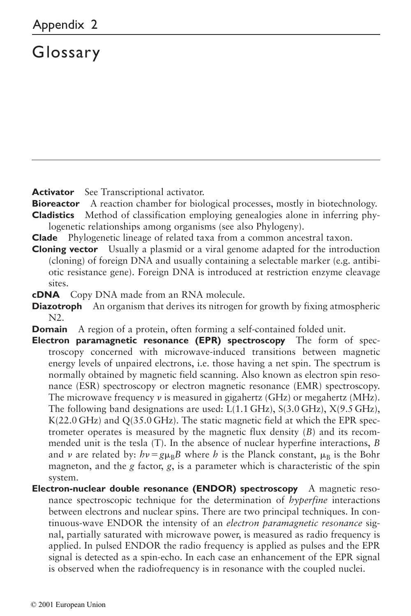## Glossary

Activator See Transcriptional activator.

- **Bioreactor** A reaction chamber for biological processes, mostly in biotechnology.
- **Cladistics** Method of classification employing genealogies alone in inferring phylogenetic relationships among organisms (see also Phylogeny).
- **Clade** Phylogenetic lineage of related taxa from a common ancestral taxon.
- **Cloning vector** Usually a plasmid or a viral genome adapted for the introduction (cloning) of foreign DNA and usually containing a selectable marker (e.g. antibiotic resistance gene). Foreign DNA is introduced at restriction enzyme cleavage sites.
- **cDNA** Copy DNA made from an RNA molecule.
- **Diazotroph** An organism that derives its nitrogen for growth by fixing atmospheric N2.
- **Domain** A region of a protein, often forming a self-contained folded unit.
- **Electron paramagnetic resonance (EPR) spectroscopy** The form of spectroscopy concerned with microwave-induced transitions between magnetic energy levels of unpaired electrons, i.e. those having a net spin. The spectrum is normally obtained by magnetic field scanning. Also known as electron spin resonance (ESR) spectroscopy or electron magnetic resonance (EMR) spectroscopy. The microwave frequency  $\nu$  is measured in gigahertz (GHz) or megahertz (MHz). The following band designations are used: L(1.1 GHz), S(3.0 GHz), X(9.5 GHz), K(22.0 GHz) and Q(35.0 GHz). The static magnetic field at which the EPR spectrometer operates is measured by the magnetic flux density (*B*) and its recommended unit is the tesla (T). In the absence of nuclear hyperfine interactions, *B* and v are related by:  $hv = g\mu_B B$  where *h* is the Planck constant,  $\mu_B$  is the Bohr magneton, and the *g* factor, *g*, is a parameter which is characteristic of the spin system.
- **Electron-nuclear double resonance (ENDOR) spectroscopy** A magnetic resonance spectroscopic technique for the determination of *hyperfine* interactions between electrons and nuclear spins. There are two principal techniques. In continuous-wave ENDOR the intensity of an *electron paramagnetic resonance* signal, partially saturated with microwave power, is measured as radio frequency is applied. In pulsed ENDOR the radio frequency is applied as pulses and the EPR signal is detected as a spin-echo. In each case an enhancement of the EPR signal is observed when the radiofrequency is in resonance with the coupled nuclei.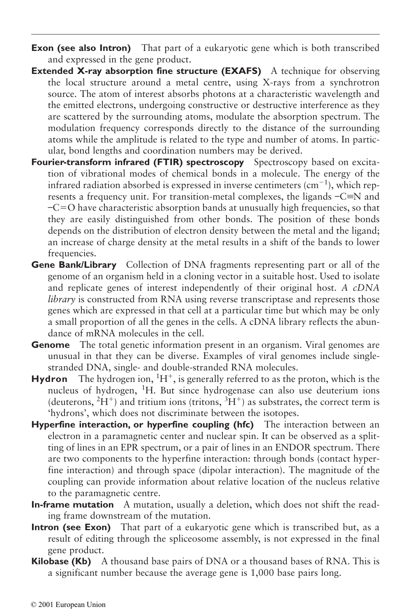- **Exon (see also Intron)** That part of a eukaryotic gene which is both transcribed and expressed in the gene product.
- **Extended X-ray absorption fine structure (EXAFS)** A technique for observing the local structure around a metal centre, using X-rays from a synchrotron source. The atom of interest absorbs photons at a characteristic wavelength and the emitted electrons, undergoing constructive or destructive interference as they are scattered by the surrounding atoms, modulate the absorption spectrum. The modulation frequency corresponds directly to the distance of the surrounding atoms while the amplitude is related to the type and number of atoms. In particular, bond lengths and coordination numbers may be derived.
- **Fourier-transform infrared (FTIR) spectroscopy** Spectroscopy based on excitation of vibrational modes of chemical bonds in a molecule. The energy of the infrared radiation absorbed is expressed in inverse centimeters  $(cm<sup>-1</sup>)$ , which represents a frequency unit. For transition-metal complexes, the ligands  $-C=N$  and  $-C=O$  have characteristic absorption bands at unusually high frequencies, so that they are easily distinguished from other bonds. The position of these bonds depends on the distribution of electron density between the metal and the ligand; an increase of charge density at the metal results in a shift of the bands to lower frequencies.
- **Gene Bank/Library** Collection of DNA fragments representing part or all of the genome of an organism held in a cloning vector in a suitable host. Used to isolate and replicate genes of interest independently of their original host. *A cDNA library* is constructed from RNA using reverse transcriptase and represents those genes which are expressed in that cell at a particular time but which may be only a small proportion of all the genes in the cells. A cDNA library reflects the abundance of mRNA molecules in the cell.
- **Genome** The total genetic information present in an organism. Viral genomes are unusual in that they can be diverse. Examples of viral genomes include singlestranded DNA, single- and double-stranded RNA molecules.
- **Hydron** The hydrogen ion,  ${}^{1}H^{+}$ , is generally referred to as the proton, which is the nucleus of hydrogen, 1H. But since hydrogenase can also use deuterium ions (deuterons,  ${}^{2}H^{+}$ ) and tritium ions (tritons,  ${}^{3}H^{+}$ ) as substrates, the correct term is 'hydrons', which does not discriminate between the isotopes.
- **Hyperfine interaction, or hyperfine coupling (hfc)** The interaction between an electron in a paramagnetic center and nuclear spin. It can be observed as a splitting of lines in an EPR spectrum, or a pair of lines in an ENDOR spectrum. There are two components to the hyperfine interaction: through bonds (contact hyperfine interaction) and through space (dipolar interaction). The magnitude of the coupling can provide information about relative location of the nucleus relative to the paramagnetic centre.
- **In-frame mutation** A mutation, usually a deletion, which does not shift the reading frame downstream of the mutation.
- **Intron (see Exon)** That part of a eukaryotic gene which is transcribed but, as a result of editing through the spliceosome assembly, is not expressed in the final gene product.
- **Kilobase (Kb)** A thousand base pairs of DNA or a thousand bases of RNA. This is a significant number because the average gene is 1,000 base pairs long.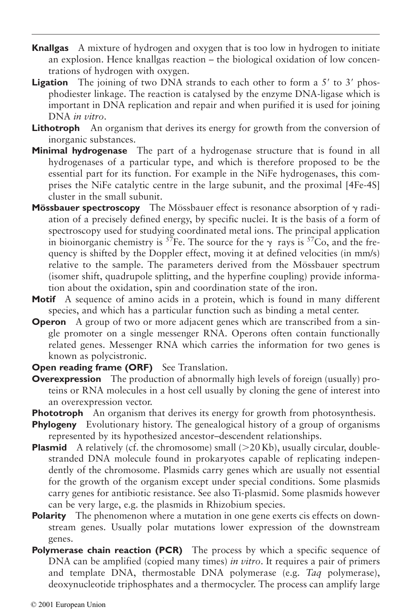- **Knallgas** A mixture of hydrogen and oxygen that is too low in hydrogen to initiate an explosion. Hence knallgas reaction – the biological oxidation of low concentrations of hydrogen with oxygen.
- **Ligation** The joining of two DNA strands to each other to form a  $5'$  to  $3'$  phosphodiester linkage. The reaction is catalysed by the enzyme DNA-ligase which is important in DNA replication and repair and when purified it is used for joining DNA *in vitro*.
- **Lithotroph** An organism that derives its energy for growth from the conversion of inorganic substances.
- **Minimal hydrogenase** The part of a hydrogenase structure that is found in all hydrogenases of a particular type, and which is therefore proposed to be the essential part for its function. For example in the NiFe hydrogenases, this comprises the NiFe catalytic centre in the large subunit, and the proximal [4Fe-4S] cluster in the small subunit.
- **Mössbauer spectroscopy** The Mössbauer effect is resonance absorption of  $\gamma$  radiation of a precisely defined energy, by specific nuclei. It is the basis of a form of spectroscopy used for studying coordinated metal ions. The principal application in bioinorganic chemistry is <sup>57</sup>Fe. The source for the  $\gamma$  rays is <sup>57</sup>Co, and the frequency is shifted by the Doppler effect, moving it at defined velocities (in mm/s) relative to the sample. The parameters derived from the Mössbauer spectrum (isomer shift, quadrupole splitting, and the hyperfine coupling) provide information about the oxidation, spin and coordination state of the iron.
- **Motif** A sequence of amino acids in a protein, which is found in many different species, and which has a particular function such as binding a metal center.
- **Operon** A group of two or more adjacent genes which are transcribed from a single promoter on a single messenger RNA. Operons often contain functionally related genes. Messenger RNA which carries the information for two genes is known as polycistronic.
- **Open reading frame (ORF)** See Translation.
- **Overexpression** The production of abnormally high levels of foreign (usually) proteins or RNA molecules in a host cell usually by cloning the gene of interest into an overexpression vector.
- **Phototroph** An organism that derives its energy for growth from photosynthesis.
- **Phylogeny** Evolutionary history. The genealogical history of a group of organisms represented by its hypothesized ancestor–descendent relationships.
- **Plasmid** A relatively (cf. the chromosome) small ( $>20$  Kb), usually circular, doublestranded DNA molecule found in prokaryotes capable of replicating independently of the chromosome. Plasmids carry genes which are usually not essential for the growth of the organism except under special conditions. Some plasmids carry genes for antibiotic resistance. See also Ti-plasmid. Some plasmids however can be very large, e.g. the plasmids in Rhizobium species.
- **Polarity** The phenomenon where a mutation in one gene exerts cis effects on downstream genes. Usually polar mutations lower expression of the downstream genes.
- **Polymerase chain reaction (PCR)** The process by which a specific sequence of DNA can be amplified (copied many times) *in vitro*. It requires a pair of primers and template DNA, thermostable DNA polymerase (e.g. *Taq* polymerase), deoxynucleotide triphosphates and a thermocycler. The process can amplify large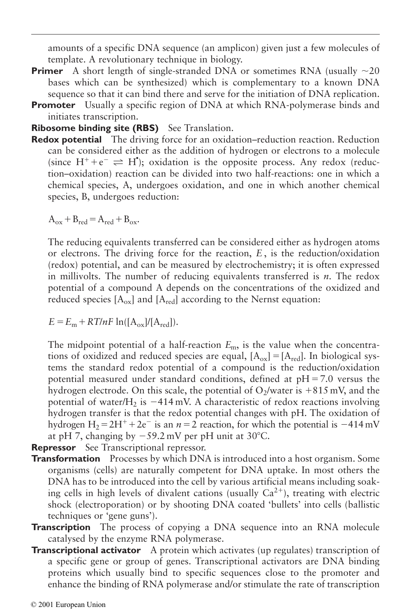amounts of a specific DNA sequence (an amplicon) given just a few molecules of template. A revolutionary technique in biology.

- **Primer** A short length of single-stranded DNA or sometimes RNA (usually  $\sim$ 20 bases which can be synthesized) which is complementary to a known DNA sequence so that it can bind there and serve for the initiation of DNA replication.
- **Promoter** Usually a specific region of DNA at which RNA-polymerase binds and initiates transcription.

**Ribosome binding site (RBS)** See Translation.

**Redox potential** The driving force for an oxidation–reduction reaction. Reduction can be considered either as the addition of hydrogen or electrons to a molecule (since  $H^+ + e^- \rightleftharpoons H'$ ); oxidation is the opposite process. Any redox (reduction–oxidation) reaction can be divided into two half-reactions: one in which a chemical species, A, undergoes oxidation, and one in which another chemical species, B, undergoes reduction:

 $A_{ox} + B_{red} = A_{red} + B_{ox}$ .

The reducing equivalents transferred can be considered either as hydrogen atoms or electrons. The driving force for the reaction,  $E$ , is the reduction/oxidation (redox) potential, and can be measured by electrochemistry; it is often expressed in millivolts. The number of reducing equivalents transferred is *n*. The redox potential of a compound A depends on the concentrations of the oxidized and reduced species  $[A_{ox}]$  and  $[A_{red}]$  according to the Nernst equation:

 $E = E_{\rm m} + RT/nF \ln([A_{\rm ox}]/[A_{\rm red}]).$ 

The midpoint potential of a half-reaction  $E<sub>m</sub>$ , is the value when the concentrations of oxidized and reduced species are equal,  $[A_{ox}] = [A_{red}]$ . In biological systems the standard redox potential of a compound is the reduction/oxidation potential measured under standard conditions, defined at  $pH = 7.0$  versus the hydrogen electrode. On this scale, the potential of  $O_2$ /water is +815 mV, and the potential of water/H<sub>2</sub> is  $-414$  mV. A characteristic of redox reactions involving hydrogen transfer is that the redox potential changes with pH. The oxidation of hydrogen  $H_2 = 2H^+ + 2e^-$  is an  $n = 2$  reaction, for which the potential is  $-414 \text{ mV}$ at pH 7, changing by  $-59.2$  mV per pH unit at 30 $^{\circ}$ C.

**Repressor** See Transcriptional repressor.

- **Transformation** Processes by which DNA is introduced into a host organism. Some organisms (cells) are naturally competent for DNA uptake. In most others the DNA has to be introduced into the cell by various artificial means including soaking cells in high levels of divalent cations (usually  $Ca^{2+}$ ), treating with electric shock (electroporation) or by shooting DNA coated 'bullets' into cells (ballistic techniques or 'gene guns').
- **Transcription** The process of copying a DNA sequence into an RNA molecule catalysed by the enzyme RNA polymerase.
- **Transcriptional activator** A protein which activates (up regulates) transcription of a specific gene or group of genes. Transcriptional activators are DNA binding proteins which usually bind to specific sequences close to the promoter and enhance the binding of RNA polymerase and/or stimulate the rate of transcription